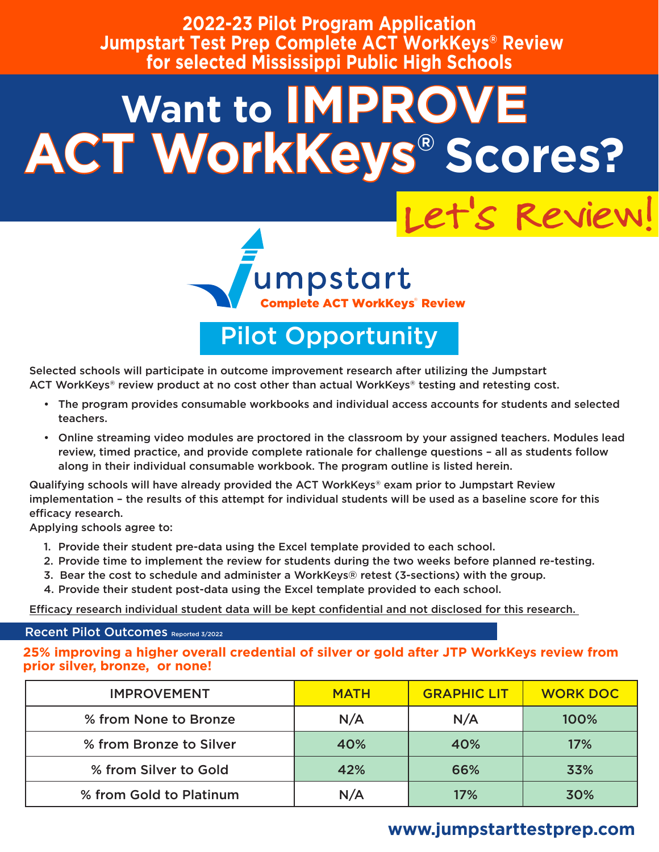**2022-23 Pilot Program Application Jumpstart Test Prep Complete ACT WorkKeys® Review for selected Mississippi Public High Schools** 

# **Want to IMPRO ACT WorkKeys® Scores?**



Pilot Opportunity

Selected schools will participate in outcome improvement research after utilizing the Jumpstart ACT WorkKeys® review product at no cost other than actual WorkKeys® testing and retesting cost.

- The program provides consumable workbooks and individual access accounts for students and selected teachers.
- Online streaming video modules are proctored in the classroom by your assigned teachers. Modules lead review, timed practice, and provide complete rationale for challenge questions – all as students follow along in their individual consumable workbook. The program outline is listed herein.

Qualifying schools will have already provided the ACT WorkKeys® exam prior to Jumpstart Review implementation – the results of this attempt for individual students will be used as a baseline score for this efficacy research.

Applying schools agree to:

- 1. Provide their student pre-data using the Excel template provided to each school.
- 2. Provide time to implement the review for students during the two weeks before planned re-testing.
- 3. Bear the cost to schedule and administer a WorkKeys® retest (3-sections) with the group.
- 4. Provide their student post-data using the Excel template provided to each school.

Efficacy research individual student data will be kept confidential and not disclosed for this research.

#### Recent Pilot Outcomes Reported 3/2022

**25% improving a higher overall credential of silver or gold after JTP WorkKeys review from prior silver, bronze, or none!**

| <b>IMPROVEMENT</b>      | <b>MATH</b> | <b>GRAPHIC LIT</b> | <b>WORK DOC</b> |
|-------------------------|-------------|--------------------|-----------------|
| % from None to Bronze   | N/A         | N/A                | 100%            |
| % from Bronze to Silver | 40%         | 40%                | 17%             |
| % from Silver to Gold   | 42%         | 66%                | 33%             |
| % from Gold to Platinum | N/A         | 17%                | 30%             |

### **www.jumpstarttestprep.com**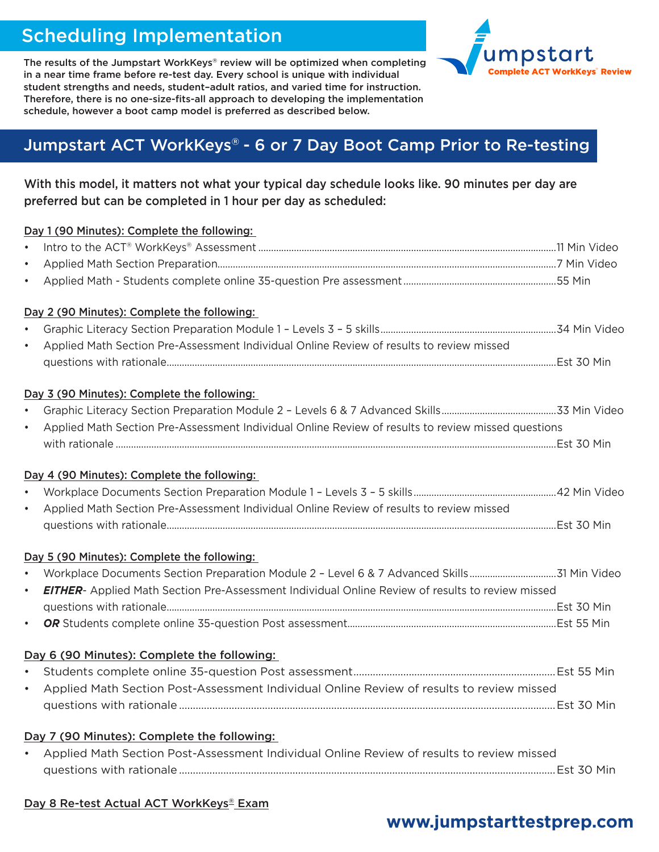# Scheduling Implementation



The results of the Jumpstart WorkKeys® review will be optimized when completing in a near time frame before re-test day. Every school is unique with individual student strengths and needs, student–adult ratios, and varied time for instruction. Therefore, there is no one-size-fits-all approach to developing the implementation schedule, however a boot camp model is preferred as described below.

## Jumpstart ACT WorkKeys® - 6 or 7 Day Boot Camp Prior to Re-testing

#### With this model, it matters not what your typical day schedule looks like. 90 minutes per day are preferred but can be completed in 1 hour per day as scheduled:

|           | Day 1 (90 Minutes): Complete the following:                                                             |  |
|-----------|---------------------------------------------------------------------------------------------------------|--|
| $\bullet$ |                                                                                                         |  |
| $\bullet$ |                                                                                                         |  |
| $\bullet$ |                                                                                                         |  |
|           | Day 2 (90 Minutes): Complete the following:                                                             |  |
| $\bullet$ |                                                                                                         |  |
| $\bullet$ | Applied Math Section Pre-Assessment Individual Online Review of results to review missed                |  |
|           |                                                                                                         |  |
|           | Day 3 (90 Minutes): Complete the following:                                                             |  |
| $\bullet$ |                                                                                                         |  |
| $\bullet$ | Applied Math Section Pre-Assessment Individual Online Review of results to review missed questions      |  |
|           |                                                                                                         |  |
|           | Day 4 (90 Minutes): Complete the following:                                                             |  |
| $\bullet$ |                                                                                                         |  |
| $\bullet$ | Applied Math Section Pre-Assessment Individual Online Review of results to review missed                |  |
|           |                                                                                                         |  |
|           | Day 5 (90 Minutes): Complete the following:                                                             |  |
| $\bullet$ |                                                                                                         |  |
| $\bullet$ | <b>EITHER-</b> Applied Math Section Pre-Assessment Individual Online Review of results to review missed |  |
|           |                                                                                                         |  |
| $\bullet$ |                                                                                                         |  |
|           | Day 6 (90 Minutes): Complete the following:                                                             |  |
| $\bullet$ |                                                                                                         |  |
| $\bullet$ | Applied Math Section Post-Assessment Individual Online Review of results to review missed               |  |
|           |                                                                                                         |  |
|           | Day 7 (90 Minutes): Complete the following:                                                             |  |
| $\bullet$ | Applied Math Section Post-Assessment Individual Online Review of results to review missed               |  |
|           |                                                                                                         |  |
|           |                                                                                                         |  |
|           | Day 8 Re-test Actual ACT WorkKeys® Exam                                                                 |  |

## **www.jumpstarttestprep.com**